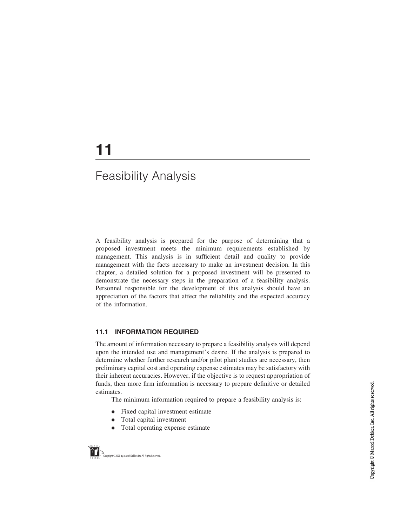# 11

# Feasibility Analysis

A feasibility analysis is prepared for the purpose of determining that a proposed investment meets the minimum requirements established by management. This analysis is in sufficient detail and quality to provide management with the facts necessary to make an investment decision. In this chapter, a detailed solution for a proposed investment will be presented to demonstrate the necessary steps in the preparation of a feasibility analysis. Personnel responsible for the development of this analysis should have an appreciation of the factors that affect the reliability and the expected accuracy of the information.

# 11.1 INFORMATION REQUIRED

The amount of information necessary to prepare a feasibility analysis will depend upon the intended use and management's desire. If the analysis is prepared to determine whether further research and/or pilot plant studies are necessary, then preliminary capital cost and operating expense estimates may be satisfactory with their inherent accuracies. However, if the objective is to request appropriation of funds, then more firm information is necessary to prepare definitive or detailed estimates.

The minimum information required to prepare a feasibility analysis is:

- . Fixed capital investment estimate
- . Total capital investment
- . Total operating expense estimate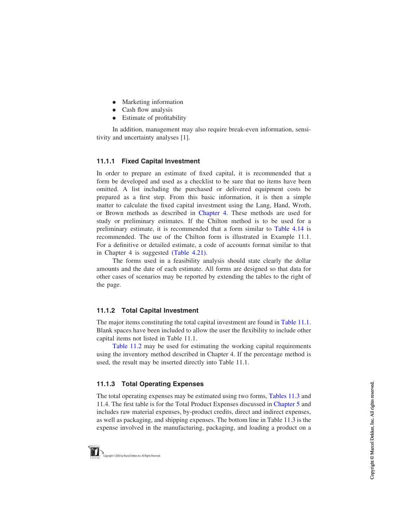- Marketing information
- Cash flow analysis
- . Estimate of profitability

In addition, management may also require break-even information, sensitivity and uncertainty analyses [1].

#### 11.1.1 Fixed Capital Investment

In order to prepare an estimate of fixed capital, it is recommended that a form be developed and used as a checklist to be sure that no items have been omitted. A list including the purchased or delivered equipment costs be prepared as a first step. From this basic information, it is then a simple matter to calculate the fixed capital investment using the Lang, Hand, Wroth, or Brown methods as described in Chapter 4. These methods are used for study or preliminary estimates. If the Chilton method is to be used for a preliminary estimate, it is recommended that a form similar to [Table 4.14](#page-36-0) is recommended. The use of the Chilton form is illustrated in Example 11.1. For a definitive or detailed estimate, a code of accounts format similar to that in Chapter 4 is suggested [\(Table 4.21\).](#page-50-0)

The forms used in a feasibility analysis should state clearly the dollar amounts and the date of each estimate. All forms are designed so that data for other cases of scenarios may be reported by extending the tables to the right of the page.

# 11.1.2 Total Capital Investment

The major items constituting the total capital investment are found in [Table 11.1](#page-2-0). Blank spaces have been included to allow the user the flexibility to include other capital items not listed in Table 11.1.

[Table 11.2](#page-2-0) may be used for estimating the working capital requirements using the inventory method described in Chapter 4. If the percentage method is used, the result may be inserted directly into Table 11.1.

# 11.1.3 Total Operating Expenses

The total operating expenses may be estimated using two forms, [Tables 11.3](#page-3-0) and 11.4. The first table is for the Total Product Expenses discussed in Chapter 5 and includes raw material expenses, by-product credits, direct and indirect expenses, as well as packaging, and shipping expenses. The bottom line in Table 11.3 is the expense involved in the manufacturing, packaging, and loading a product on a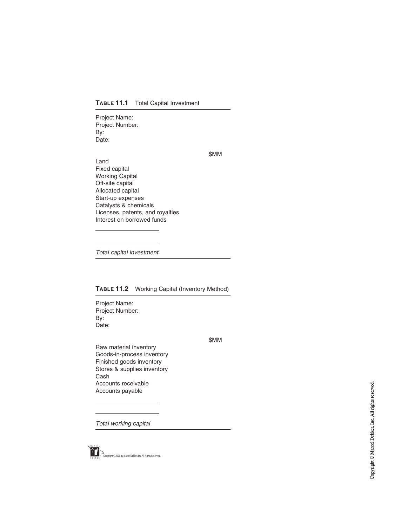<span id="page-2-0"></span>Project Name: Project Number: By: Date:

\$MM

Land Fixed capital Working Capital Off-site capital Allocated capital Start-up expenses Catalysts & chemicals Licenses, patents, and royalties Interest on borrowed funds

Total capital investment

#### TABLE 11.2 Working Capital (Inventory Method)

Project Name: Project Number: By: Date:

\$MM

Raw material inventory Goods-in-process inventory Finished goods inventory Stores & supplies inventory Cash Accounts receivable Accounts payable

Total working capital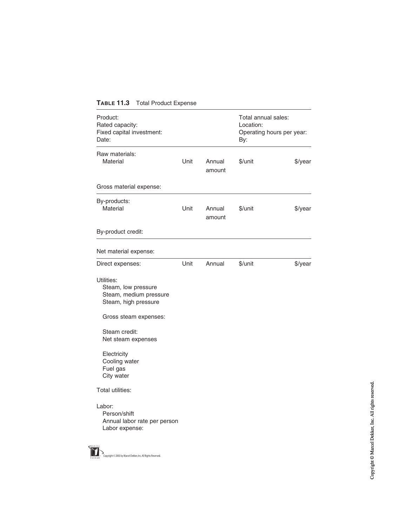<span id="page-3-0"></span>

| Product:<br>Rated capacity:<br>Fixed capital investment:<br>Date:                   |      |                  | Total annual sales:<br>Location:<br>Operating hours per year:<br>By: |         |
|-------------------------------------------------------------------------------------|------|------------------|----------------------------------------------------------------------|---------|
| Raw materials:<br>Material                                                          | Unit | Annual<br>amount | \$/unit                                                              | \$/year |
| Gross material expense:                                                             |      |                  |                                                                      |         |
| By-products:<br>Material                                                            | Unit | Annual<br>amount | \$/unit                                                              | \$/year |
| By-product credit:                                                                  |      |                  |                                                                      |         |
| Net material expense:                                                               |      |                  |                                                                      |         |
| Direct expenses:                                                                    | Unit | Annual           | \$/unit                                                              | \$/year |
| Utilities:<br>Steam, low pressure<br>Steam, medium pressure<br>Steam, high pressure |      |                  |                                                                      |         |
| Gross steam expenses:                                                               |      |                  |                                                                      |         |
| Steam credit:<br>Net steam expenses                                                 |      |                  |                                                                      |         |
| Electricity<br>Cooling water<br>Fuel gas<br>City water                              |      |                  |                                                                      |         |
| Total utilities:                                                                    |      |                  |                                                                      |         |
| Labor:<br>Person/shift<br>Annual labor rate per person<br>Labor expense:            |      |                  |                                                                      |         |

M Copyright © 2003 by Marcel Dekker, Inc. All Rights Reserved.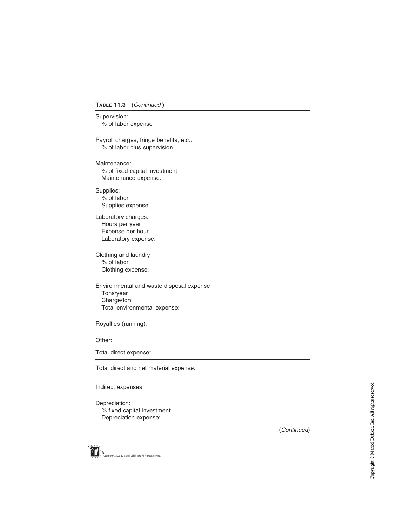#### TABLE 11.3 (Continued)

Supervision: % of labor expense

Payroll charges, fringe benefits, etc.: % of labor plus supervision

Maintenance: % of fixed capital investment Maintenance expense:

Supplies: % of labor Supplies expense:

Laboratory charges: Hours per year Expense per hour Laboratory expense:

Clothing and laundry: % of labor Clothing expense:

Environmental and waste disposal expense: Tons/year Charge/ton Total environmental expense:

Royalties (running):

#### Other:

Total direct expense:

Total direct and net material expense:

#### Indirect expenses

Depreciation: % fixed capital investment Depreciation expense: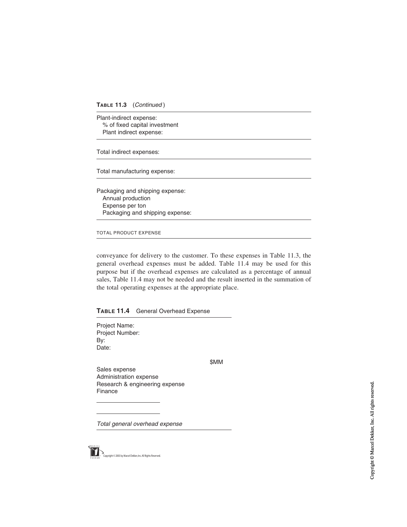Plant-indirect expense: % of fixed capital investment Plant indirect expense:

Total indirect expenses:

Total manufacturing expense:

Packaging and shipping expense: Annual production Expense per ton Packaging and shipping expense:

TOTAL PRODUCT EXPENSE

conveyance for delivery to the customer. To these expenses in Table 11.3, the general overhead expenses must be added. Table 11.4 may be used for this purpose but if the overhead expenses are calculated as a percentage of annual sales, Table 11.4 may not be needed and the result inserted in the summation of the total operating expenses at the appropriate place.

TABLE 11.4 General Overhead Expense

Project Name: Project Number: By: Date:

\$MM

Sales expense Administration expense Research & engineering expense Finance

Total general overhead expense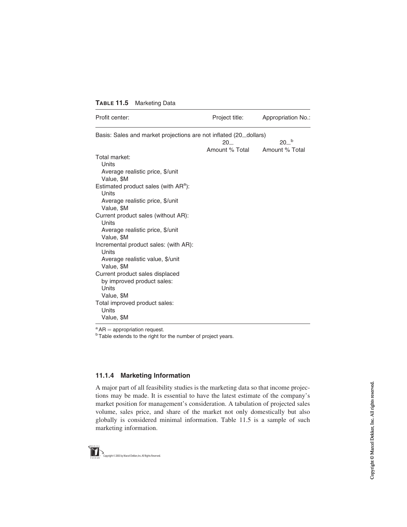| TABLE 11.5 | <b>Marketing Data</b> |
|------------|-----------------------|
|------------|-----------------------|

| Profit center:                                                    | Project title:       | Appropriation No.: |
|-------------------------------------------------------------------|----------------------|--------------------|
| Basis: Sales and market projections are not inflated (20_dollars) |                      |                    |
|                                                                   | 20<br>Amount % Total | 20 <sup>b</sup>    |
| Total market:                                                     |                      | Amount % Total     |
| Units                                                             |                      |                    |
| Average realistic price, \$/unit                                  |                      |                    |
| Value, \$M                                                        |                      |                    |
| Estimated product sales (with AR <sup>a</sup> ):                  |                      |                    |
| Units                                                             |                      |                    |
| Average realistic price, \$/unit                                  |                      |                    |
| Value, \$M                                                        |                      |                    |
| Current product sales (without AR):                               |                      |                    |
| Units                                                             |                      |                    |
| Average realistic price, \$/unit                                  |                      |                    |
| Value, \$M                                                        |                      |                    |
| Incremental product sales: (with AR):                             |                      |                    |
| Units                                                             |                      |                    |
| Average realistic value, \$/unit                                  |                      |                    |
| Value, \$M                                                        |                      |                    |
| Current product sales displaced                                   |                      |                    |
| by improved product sales:                                        |                      |                    |
| Units                                                             |                      |                    |
| Value, \$M                                                        |                      |                    |
| Total improved product sales:<br>Units                            |                      |                    |
|                                                                   |                      |                    |
| Value, \$M                                                        |                      |                    |

 $a<sup>a</sup> AR =$  appropriation request.<br> $b<sup>b</sup> Table$  extends to the right for the number of project years.

#### 11.1.4 Marketing Information

A major part of all feasibility studies is the marketing data so that income projections may be made. It is essential to have the latest estimate of the company's market position for management's consideration. A tabulation of projected sales volume, sales price, and share of the market not only domestically but also globally is considered minimal information. Table 11.5 is a sample of such marketing information.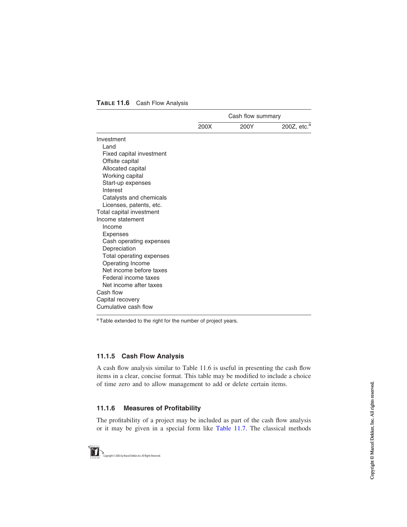|                          | Cash flow summary |      |                         |
|--------------------------|-------------------|------|-------------------------|
|                          | 200X              | 200Y | 200Z, etc. <sup>a</sup> |
| Investment               |                   |      |                         |
| Land                     |                   |      |                         |
| Fixed capital investment |                   |      |                         |
| Offsite capital          |                   |      |                         |
| Allocated capital        |                   |      |                         |
| Working capital          |                   |      |                         |
| Start-up expenses        |                   |      |                         |
| Interest                 |                   |      |                         |
| Catalysts and chemicals  |                   |      |                         |
| Licenses, patents, etc.  |                   |      |                         |
| Total capital investment |                   |      |                         |
| Income statement         |                   |      |                         |
| Income                   |                   |      |                         |
| <b>Expenses</b>          |                   |      |                         |
| Cash operating expenses  |                   |      |                         |
| Depreciation             |                   |      |                         |
| Total operating expenses |                   |      |                         |
| Operating Income         |                   |      |                         |
| Net income before taxes  |                   |      |                         |
| Federal income taxes     |                   |      |                         |
| Net income after taxes   |                   |      |                         |
| Cash flow                |                   |      |                         |
| Capital recovery         |                   |      |                         |
| Cumulative cash flow     |                   |      |                         |

#### TABLE 11.6 Cash Flow Analysis

<sup>a</sup> Table extended to the right for the number of project years.

#### 11.1.5 Cash Flow Analysis

A cash flow analysis similar to Table 11.6 is useful in presenting the cash flow items in a clear, concise format. This table may be modified to include a choice of time zero and to allow management to add or delete certain items.

#### 11.1.6 Measures of Profitability

The profitability of a project may be included as part of the cash flow analysis or it may be given in a special form like [Table 11.7](#page-8-0). The classical methods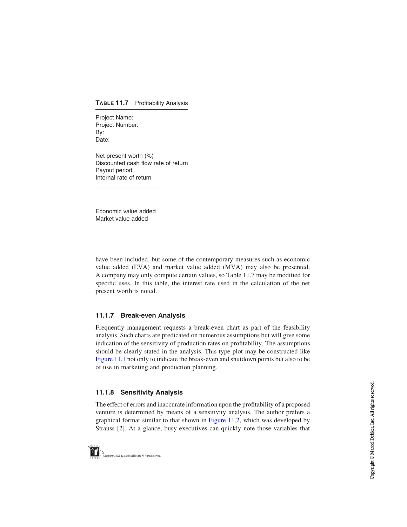#### <span id="page-8-0"></span>TABLE 11.7 Profitability Analysis

Project Name: Project Number: By: Date:

Net present worth (%) Discounted cash flow rate of return Payout period Internal rate of return

Economic value added Market value added

have been included, but some of the contemporary measures such as economic value added (EVA) and market value added (MVA) may also be presented. A company may only compute certain values, so Table 11.7 may be modified for specific uses. In this table, the interest rate used in the calculation of the net present worth is noted.

# 11.1.7 Break-even Analysis

Frequently management requests a break-even chart as part of the feasibility analysis. Such charts are predicated on numerous assumptions but will give some indication of the sensitivity of production rates on profitability. The assumptions should be clearly stated in the analysis. This type plot may be constructed like [Figure 11.1](#page-9-0) not only to indicate the break-even and shutdown points but also to be of use in marketing and production planning.

#### 11.1.8 Sensitivity Analysis

The effect of errors and inaccurate information upon the profitability of a proposed venture is determined by means of a sensitivity analysis. The author prefers a graphical format similar to that shown in [Figure 11.2](#page-10-0), which was developed by Strauss [2]. At a glance, busy executives can quickly note those variables that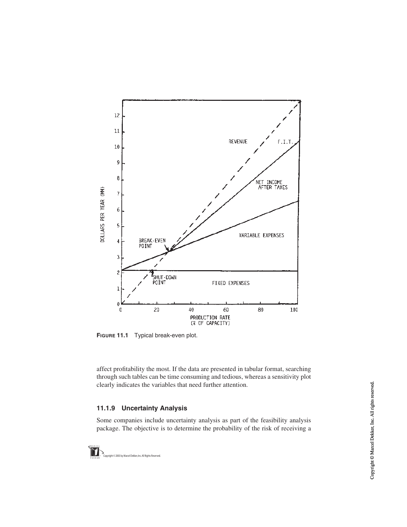<span id="page-9-0"></span>

FIGURE 11.1 Typical break-even plot.

affect profitability the most. If the data are presented in tabular format, searching through such tables can be time consuming and tedious, whereas a sensitivity plot clearly indicates the variables that need further attention.

# 11.1.9 Uncertainty Analysis

Some companies include uncertainty analysis as part of the feasibility analysis package. The objective is to determine the probability of the risk of receiving a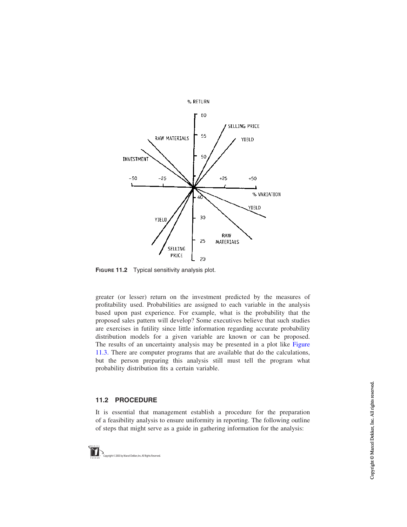<span id="page-10-0"></span>

FIGURE 11.2 Typical sensitivity analysis plot.

greater (or lesser) return on the investment predicted by the measures of profitability used. Probabilities are assigned to each variable in the analysis based upon past experience. For example, what is the probability that the proposed sales pattern will develop? Some executives believe that such studies are exercises in futility since little information regarding accurate probability distribution models for a given variable are known or can be proposed. The results of an uncertainty analysis may be presented in a plot like [Figure](#page-11-0) [11.3](#page-11-0). There are computer programs that are available that do the calculations, but the person preparing this analysis still must tell the program what probability distribution fits a certain variable.

#### 11.2 PROCEDURE

It is essential that management establish a procedure for the preparation of a feasibility analysis to ensure uniformity in reporting. The following outline of steps that might serve as a guide in gathering information for the analysis: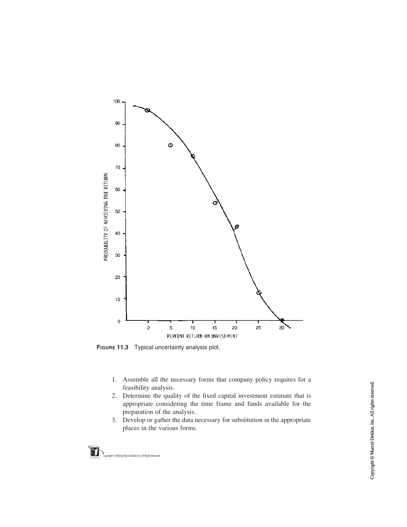<span id="page-11-0"></span>

FIGURE 11.3 Typical uncertainty analysis plot.

- 1. Assemble all the necessary forms that company policy requires for a feasibility analysis.
- 2. Determine the quality of the fixed capital investment estimate that is appropriate considering the time frame and funds available for the preparation of the analysis.
- 3. Develop or gather the data necessary for substitution in the appropriate places in the various forms.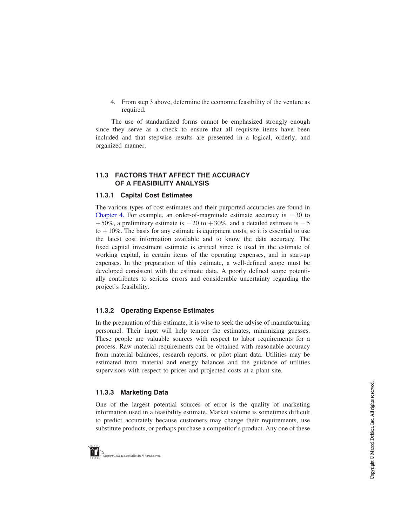4. From step 3 above, determine the economic feasibility of the venture as required.

The use of standardized forms cannot be emphasized strongly enough since they serve as a check to ensure that all requisite items have been included and that stepwise results are presented in a logical, orderly, and organized manner.

#### 11.3 FACTORS THAT AFFECT THE ACCURACY OF A FEASIBILITY ANALYSIS

#### 11.3.1 Capital Cost Estimates

The various types of cost estimates and their purported accuracies are found in Chapter 4. For example, an order-of-magnitude estimate accuracy is  $-30$  to +50%, a preliminary estimate is  $-20$  to +30%, and a detailed estimate is  $-5$ to  $+10\%$ . The basis for any estimate is equipment costs, so it is essential to use the latest cost information available and to know the data accuracy. The fixed capital investment estimate is critical since is used in the estimate of working capital, in certain items of the operating expenses, and in start-up expenses. In the preparation of this estimate, a well-defined scope must be developed consistent with the estimate data. A poorly defined scope potentially contributes to serious errors and considerable uncertainty regarding the project's feasibility.

# 11.3.2 Operating Expense Estimates

In the preparation of this estimate, it is wise to seek the advise of manufacturing personnel. Their input will help temper the estimates, minimizing guesses. These people are valuable sources with respect to labor requirements for a process. Raw material requirements can be obtained with reasonable accuracy from material balances, research reports, or pilot plant data. Utilities may be estimated from material and energy balances and the guidance of utilities supervisors with respect to prices and projected costs at a plant site.

# 11.3.3 Marketing Data

One of the largest potential sources of error is the quality of marketing information used in a feasibility estimate. Market volume is sometimes difficult to predict accurately because customers may change their requirements, use substitute products, or perhaps purchase a competitor's product. Any one of these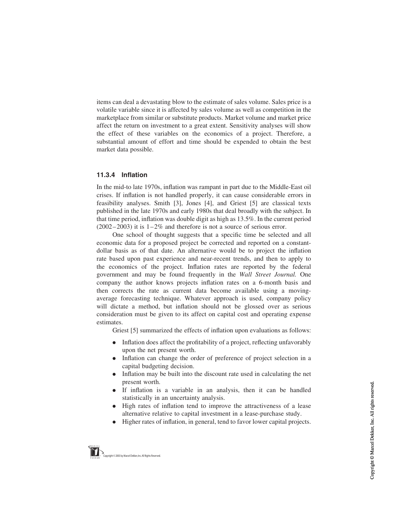items can deal a devastating blow to the estimate of sales volume. Sales price is a volatile variable since it is affected by sales volume as well as competition in the marketplace from similar or substitute products. Market volume and market price affect the return on investment to a great extent. Sensitivity analyses will show the effect of these variables on the economics of a project. Therefore, a substantial amount of effort and time should be expended to obtain the best market data possible.

#### 11.3.4 Inflation

In the mid-to late 1970s, inflation was rampant in part due to the Middle-East oil crises. If inflation is not handled properly, it can cause considerable errors in feasibility analyses. Smith [3], Jones [4], and Griest [5] are classical texts published in the late 1970s and early 1980s that deal broadly with the subject. In that time period, inflation was double digit as high as 13.5%. In the current period  $(2002 - 2003)$  it is  $1 - 2\%$  and therefore is not a source of serious error.

One school of thought suggests that a specific time be selected and all economic data for a proposed project be corrected and reported on a constantdollar basis as of that date. An alternative would be to project the inflation rate based upon past experience and near-recent trends, and then to apply to the economics of the project. Inflation rates are reported by the federal government and may be found frequently in the Wall Street Journal. One company the author knows projects inflation rates on a 6-month basis and then corrects the rate as current data become available using a movingaverage forecasting technique. Whatever approach is used, company policy will dictate a method, but inflation should not be glossed over as serious consideration must be given to its affect on capital cost and operating expense estimates.

Griest [5] summarized the effects of inflation upon evaluations as follows:

- . Inflation does affect the profitability of a project, reflecting unfavorably upon the net present worth.
- . Inflation can change the order of preference of project selection in a capital budgeting decision.
- . Inflation may be built into the discount rate used in calculating the net present worth.
- . If inflation is a variable in an analysis, then it can be handled statistically in an uncertainty analysis.
- . High rates of inflation tend to improve the attractiveness of a lease alternative relative to capital investment in a lease-purchase study.
- . Higher rates of inflation, in general, tend to favor lower capital projects.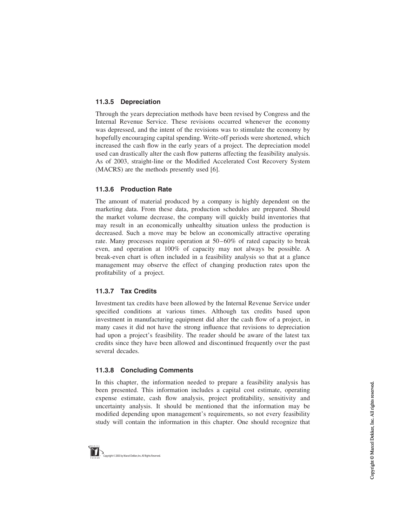# 11.3.5 Depreciation

Through the years depreciation methods have been revised by Congress and the Internal Revenue Service. These revisions occurred whenever the economy was depressed, and the intent of the revisions was to stimulate the economy by hopefully encouraging capital spending. Write-off periods were shortened, which increased the cash flow in the early years of a project. The depreciation model used can drastically alter the cash flow patterns affecting the feasibility analysis. As of 2003, straight-line or the Modified Accelerated Cost Recovery System (MACRS) are the methods presently used [6].

# 11.3.6 Production Rate

The amount of material produced by a company is highly dependent on the marketing data. From these data, production schedules are prepared. Should the market volume decrease, the company will quickly build inventories that may result in an economically unhealthy situation unless the production is decreased. Such a move may be below an economically attractive operating rate. Many processes require operation at 50 – 60% of rated capacity to break even, and operation at 100% of capacity may not always be possible. A break-even chart is often included in a feasibility analysis so that at a glance management may observe the effect of changing production rates upon the profitability of a project.

# 11.3.7 Tax Credits

Investment tax credits have been allowed by the Internal Revenue Service under specified conditions at various times. Although tax credits based upon investment in manufacturing equipment did alter the cash flow of a project, in many cases it did not have the strong influence that revisions to depreciation had upon a project's feasibility. The reader should be aware of the latest tax credits since they have been allowed and discontinued frequently over the past several decades.

# 11.3.8 Concluding Comments

In this chapter, the information needed to prepare a feasibility analysis has been presented. This information includes a capital cost estimate, operating expense estimate, cash flow analysis, project profitability, sensitivity and uncertainty analysis. It should be mentioned that the information may be modified depending upon management's requirements, so not every feasibility study will contain the information in this chapter. One should recognize that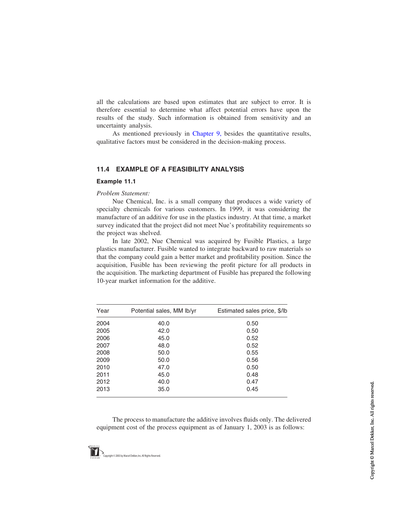all the calculations are based upon estimates that are subject to error. It is therefore essential to determine what affect potential errors have upon the results of the study. Such information is obtained from sensitivity and an uncertainty analysis.

As mentioned previously in Chapter 9, besides the quantitative results, qualitative factors must be considered in the decision-making process.

#### 11.4 EXAMPLE OF A FEASIBILITY ANALYSIS

#### Example 11.1

#### Problem Statement:

Nue Chemical, Inc. is a small company that produces a wide variety of specialty chemicals for various customers. In 1999, it was considering the manufacture of an additive for use in the plastics industry. At that time, a market survey indicated that the project did not meet Nue's profitability requirements so the project was shelved.

In late 2002, Nue Chemical was acquired by Fusible Plastics, a large plastics manufacturer. Fusible wanted to integrate backward to raw materials so that the company could gain a better market and profitability position. Since the acquisition, Fusible has been reviewing the profit picture for all products in the acquisition. The marketing department of Fusible has prepared the following 10-year market information for the additive.

| Year | Potential sales, MM lb/yr | Estimated sales price, \$/lb |
|------|---------------------------|------------------------------|
| 2004 | 40.0                      | 0.50                         |
| 2005 | 42.0                      | 0.50                         |
| 2006 | 45.0                      | 0.52                         |
| 2007 | 48.0                      | 0.52                         |
| 2008 | 50.0                      | 0.55                         |
| 2009 | 50.0                      | 0.56                         |
| 2010 | 47.0                      | 0.50                         |
| 2011 | 45.0                      | 0.48                         |
| 2012 | 40.0                      | 0.47                         |
| 2013 | 35.0                      | 0.45                         |

The process to manufacture the additive involves fluids only. The delivered equipment cost of the process equipment as of January 1, 2003 is as follows: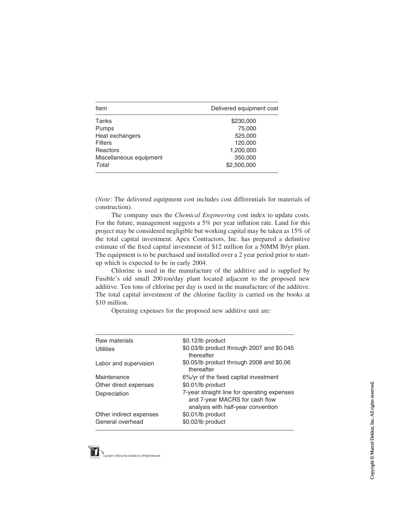| Item                    | Delivered equipment cost |
|-------------------------|--------------------------|
| Tanks                   | \$230,000                |
| Pumps                   | 75,000                   |
| Heat exchangers         | 525,000                  |
| <b>Filters</b>          | 120,000                  |
| Reactors                | 1,200,000                |
| Miscellaneous equipment | 350,000                  |
| Total                   | \$2,500,000              |

(Note: The delivered equipment cost includes cost differentials for materials of construction).

The company uses the Chemical Engineering cost index to update costs. For the future, management suggests a 5% per year inflation rate. Land for this project may be considered negligible but working capital may be taken as 15% of the total capital investment. Apex Contractors, Inc. has prepared a definitive estimate of the fixed capital investment of \$12 million for a 50MM lb/yr plant. The equipment is to be purchased and installed over a 2 year period prior to startup which is expected to be in early 2004.

Chlorine is used in the manufacture of the additive and is supplied by Fusible's old small 200 ton/day plant located adjacent to the proposed new additive. Ten tons of chlorine per day is used in the manufacture of the additive. The total capital investment of the chlorine facility is carried on the books at \$10 million.

Operating expenses for the proposed new additive unit are:

| Raw materials           | \$0.12/lb product                                                                                                   |
|-------------------------|---------------------------------------------------------------------------------------------------------------------|
| Utilities               | \$0.03/lb product through 2007 and \$0.045<br>thereafter                                                            |
| Labor and supervision   | \$0.05/lb product through 2008 and \$0.06<br>thereafter                                                             |
| Maintenance             | 6%/yr of the fixed capital investment                                                                               |
| Other direct expenses   | \$0.01/lb product                                                                                                   |
| Depreciation            | 7-year straight line for operating expenses<br>and 7-year MACRS for cash flow<br>analysis with half-year convention |
| Other indirect expenses | \$0.01/lb product                                                                                                   |
| General overhead        | \$0.02/lb product                                                                                                   |

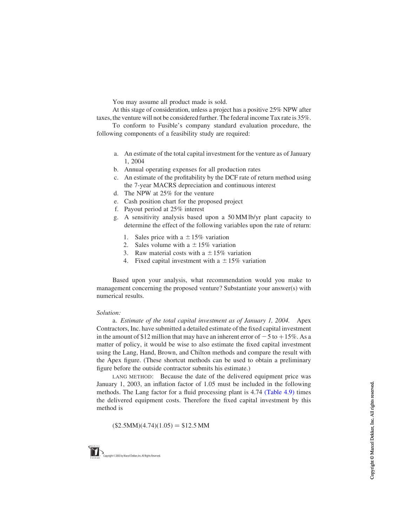You may assume all product made is sold.

At this stage of consideration, unless a project has a positive 25% NPW after taxes,the venture will not be considered further. The federal income Tax rate is 35%.

To conform to Fusible's company standard evaluation procedure, the following components of a feasibility study are required:

- a. An estimate of the total capital investment for the venture as of January 1, 2004
- b. Annual operating expenses for all production rates
- c. An estimate of the profitability by the DCF rate of return method using the 7-year MACRS depreciation and continuous interest
- d. The NPW at 25% for the venture
- e. Cash position chart for the proposed project
- f. Payout period at 25% interest
- g. A sensitivity analysis based upon a 50 MM lb/yr plant capacity to determine the effect of the following variables upon the rate of return:
	- 1. Sales price with a  $\pm$  15% variation
	- 2. Sales volume with a  $\pm$  15% variation
	- 3. Raw material costs with a  $\pm$  15% variation
	- 4. Fixed capital investment with a  $\pm 15\%$  variation

Based upon your analysis, what recommendation would you make to management concerning the proposed venture? Substantiate your answer(s) with numerical results.

#### Solution:

a. Estimate of the total capital investment as of January 1, 2004. Apex Contractors, Inc. have submitted a detailed estimate of the fixed capital investment in the amount of \$12 million that may have an inherent error of  $-5$  to  $+15\%$ . As a matter of policy, it would be wise to also estimate the fixed capital investment using the Lang, Hand, Brown, and Chilton methods and compare the result with the Apex figure. (These shortcut methods can be used to obtain a preliminary figure before the outside contractor submits his estimate.)

LANG METHOD: Because the date of the delivered equipment price was January 1, 2003, an inflation factor of 1.05 must be included in the following methods. The Lang factor for a fluid processing plant is 4.74 [\(Table 4.9\)](#page-25-0) times the delivered equipment costs. Therefore the fixed capital investment by this method is

 $$2.5MM)(4.74)(1.05) = $12.5 MM$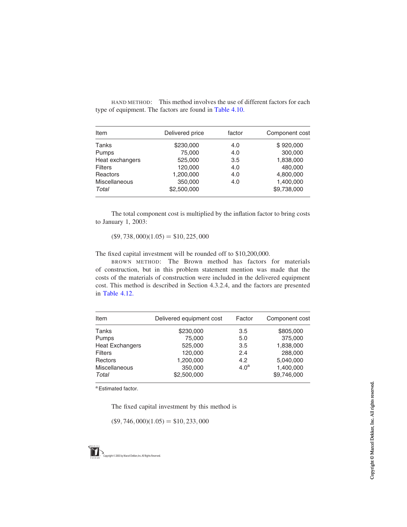HAND METHOD: This method involves the use of different factors for each type of equipment. The factors are found in [Table 4.10.](#page-27-0)

| Item                 | Delivered price | factor | Component cost |
|----------------------|-----------------|--------|----------------|
| Tanks                | \$230,000       | 4.0    | \$920,000      |
| Pumps                | 75,000          | 4.0    | 300,000        |
| Heat exchangers      | 525,000         | 3.5    | 1,838,000      |
| <b>Filters</b>       | 120,000         | 4.0    | 480,000        |
| Reactors             | 1,200,000       | 4.0    | 4,800,000      |
| <b>Miscellaneous</b> | 350,000         | 4.0    | 1,400,000      |
| Total                | \$2,500,000     |        | \$9,738,000    |

The total component cost is multiplied by the inflation factor to bring costs to January 1, 2003:

 $$9,738,000(1.05) = $10,225,000$ 

The fixed capital investment will be rounded off to \$10,200,000.

BROWN METHOD: The Brown method has factors for materials of construction, but in this problem statement mention was made that the costs of the materials of construction were included in the delivered equipment cost. This method is described in Section 4.3.2.4, and the factors are presented in [Table 4.12](#page-23-0).

| Item                   | Delivered equipment cost | Factor           | Component cost |
|------------------------|--------------------------|------------------|----------------|
| Tanks                  | \$230,000                | 3.5              | \$805,000      |
| Pumps                  | 75,000                   | 5.0              | 375,000        |
| <b>Heat Exchangers</b> | 525,000                  | 3.5              | 1,838,000      |
| <b>Filters</b>         | 120,000                  | 2.4              | 288,000        |
| Rectors                | 1,200,000                | 4.2              | 5,040,000      |
| Miscellaneous          | 350,000                  | 4.0 <sup>a</sup> | 1,400,000      |
| Total                  | \$2,500,000              |                  | \$9,746,000    |

a Estimated factor.

The fixed capital investment by this method is

 $$9,746,000(1.05) = $10,233,000$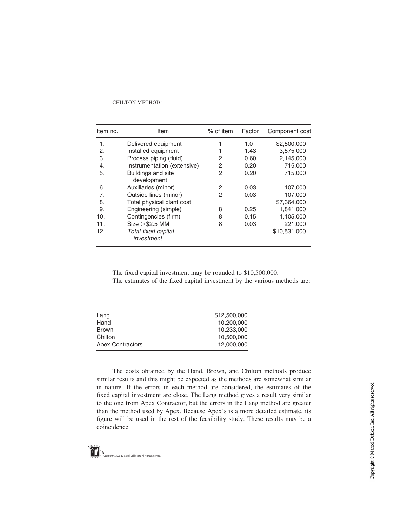#### CHILTON METHOD:

| Item no. | Item                                     | $%$ of item | Factor | Component cost |
|----------|------------------------------------------|-------------|--------|----------------|
| 1.       | Delivered equipment                      |             | 1.0    | \$2,500,000    |
| 2.       | Installed equipment                      |             | 1.43   | 3,575,000      |
| 3.       | Process piping (fluid)                   | 2           | 0.60   | 2,145,000      |
| 4.       | Instrumentation (extensive)              | 2           | 0.20   | 715,000        |
| 5.       | <b>Buildings and site</b><br>development | 2           | 0.20   | 715,000        |
| 6.       | Auxiliaries (minor)                      | 2           | 0.03   | 107,000        |
| 7.       | Outside lines (minor)                    | 2           | 0.03   | 107,000        |
| 8.       | Total physical plant cost                |             |        | \$7,364,000    |
| 9.       | Engineering (simple)                     | 8           | 0.25   | 1,841,000      |
| 10.      | Contingencies (firm)                     | 8           | 0.15   | 1,105,000      |
| 11.      | $Size > $2.5$ MM                         | 8           | 0.03   | 221,000        |
| 12.      | Total fixed capital<br>investment        |             |        | \$10,531,000   |

The fixed capital investment may be rounded to \$10,500,000.

The estimates of the fixed capital investment by the various methods are:

| Lang                    | \$12,500,000 |
|-------------------------|--------------|
| Hand                    | 10.200.000   |
| <b>Brown</b>            | 10,233,000   |
| Chilton                 | 10.500.000   |
| <b>Apex Contractors</b> | 12.000.000   |

The costs obtained by the Hand, Brown, and Chilton methods produce similar results and this might be expected as the methods are somewhat similar in nature. If the errors in each method are considered, the estimates of the fixed capital investment are close. The Lang method gives a result very similar to the one from Apex Contractor, but the errors in the Lang method are greater than the method used by Apex. Because Apex's is a more detailed estimate, its figure will be used in the rest of the feasibility study. These results may be a coincidence.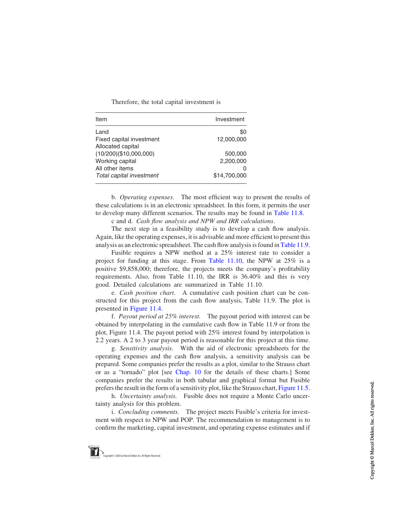Therefore, the total capital investment is

| Item                     | Investment   |
|--------------------------|--------------|
| Land                     | \$0          |
| Fixed capital investment | 12.000.000   |
| Allocated capital        |              |
| (10/200)(\$10,000,000)   | 500,000      |
| Working capital          | 2,200,000    |
| All other items          | O            |
| Total capital investment | \$14.700.000 |

b. Operating expenses. The most efficient way to present the results of these calculations is in an electronic spreadsheet. In this form, it permits the user to develop many different scenarios. The results may be found in [Table 11.8.](#page-21-0)

c and d. Cash flow analysis and NPW and IRR calculations.

The next step in a feasibility study is to develop a cash flow analysis. Again, like the operating expenses, it is advisable and more efficient to present this analysis as an electronic spreadsheet. The cash flow analysis is found in [Table 11.9.](#page-22-0)

Fusible requires a NPW method at a 25% interest rate to consider a project for funding at this stage. From [Table 11.10,](#page-23-0) the NPW at 25% is a positive \$9,858,000; therefore, the projects meets the company's profitability requirements. Also, from Table 11.10, the IRR is 36.40% and this is very good. Detailed calculations are summarized in Table 11.10.

e. Cash position chart. A cumulative cash position chart can be constructed for this project from the cash flow analysis, Table 11.9. The plot is presented in [Figure 11.4](#page-24-0).

f. Payout period at 25% interest. The payout period with interest can be obtained by interpolating in the cumulative cash flow in Table 11.9 or from the plot, Figure 11.4. The payout period with 25% interest found by interpolation is 2.2 years. A 2 to 3 year payout period is reasonable for this project at this time.

g. Sensitivity analysis. With the aid of electronic spreadsheets for the operating expenses and the cash flow analysis, a sensitivity analysis can be prepared. Some companies prefer the results as a plot, similar to the Strauss chart or as a "tornado" plot [see Chap. 10 for the details of these charts.] Some companies prefer the results in both tabular and graphical format but Fusible prefers the result in the form of a sensitivity plot, like the Strauss chart, [Figure 11.5.](#page-24-0)

h. Uncertainty analysis. Fusible does not require a Monte Carlo uncertainty analysis for this problem.

i. Concluding comments. The project meets Fusible's criteria for investment with respect to NPW and POP. The recommendation to management is to confirm the marketing, capital investment, and operating expense estimates and if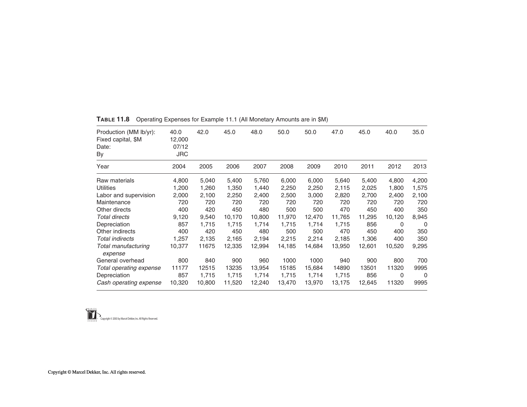| Production (MM lb/yr):<br>Fixed capital, \$M<br>Date:<br>By | 40.0<br>12,000<br>07/12<br><b>JRC</b> | 42.0   | 45.0   | 48.0   | 50.0   | 50.0   | 47.0   | 45.0   | 40.0   | 35.0  |
|-------------------------------------------------------------|---------------------------------------|--------|--------|--------|--------|--------|--------|--------|--------|-------|
| Year                                                        | 2004                                  | 2005   | 2006   | 2007   | 2008   | 2009   | 2010   | 2011   | 2012   | 2013  |
| Raw materials                                               | 4,800                                 | 5,040  | 5,400  | 5,760  | 6,000  | 6,000  | 5,640  | 5,400  | 4,800  | 4,200 |
| <b>Utilities</b>                                            | 1,200                                 | 1,260  | 1,350  | 1,440  | 2,250  | 2,250  | 2,115  | 2,025  | 1.800  | 1,575 |
| Labor and supervision                                       | 2,000                                 | 2,100  | 2,250  | 2,400  | 2,500  | 3,000  | 2,820  | 2,700  | 2,400  | 2,100 |
| Maintenance                                                 | 720                                   | 720    | 720    | 720    | 720    | 720    | 720    | 720    | 720    | 720   |
| Other directs                                               | 400                                   | 420    | 450    | 480    | 500    | 500    | 470    | 450    | 400    | 350   |
| <b>Total directs</b>                                        | 9,120                                 | 9,540  | 10,170 | 10,800 | 11,970 | 12,470 | 11,765 | 11,295 | 10,120 | 8,945 |
| Depreciation                                                | 857                                   | 1,715  | 1,715  | 1,714  | 1,715  | 1,714  | 1,715  | 856    | 0      | 0     |
| Other indirects                                             | 400                                   | 420    | 450    | 480    | 500    | 500    | 470    | 450    | 400    | 350   |
| Total indirects                                             | 1,257                                 | 2,135  | 2,165  | 2,194  | 2,215  | 2,214  | 2,185  | 1,306  | 400    | 350   |
| Total manufacturing<br>expense                              | 10,377                                | 11675  | 12,335 | 12,994 | 14,185 | 14,684 | 13,950 | 12,601 | 10,520 | 9,295 |
| General overhead                                            | 800                                   | 840    | 900    | 960    | 1000   | 1000   | 940    | 900    | 800    | 700   |
| Total operating expense                                     | 11177                                 | 12515  | 13235  | 13,954 | 15185  | 15,684 | 14890  | 13501  | 11320  | 9995  |
| Depreciation                                                | 857                                   | 1,715  | 1,715  | 1,714  | 1,715  | 1,714  | 1,715  | 856    | 0      | 0     |
| Cash operating expense                                      | 10,320                                | 10,800 | 11,520 | 12,240 | 13,470 | 13,970 | 13,175 | 12,645 | 11320  | 9995  |

<span id="page-21-0"></span>**TABLE 11.8** Operating Expenses for Example 11.1 (All Monetary Amounts are in \$M)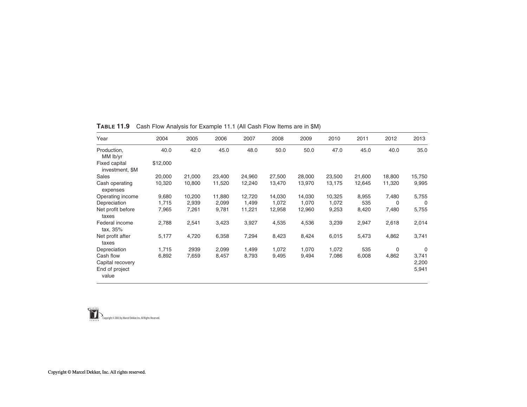| Year                                                     | 2004     | 2005   | 2006   | 2007   | 2008   | 2009   | 2010   | 2011   | 2012        | 2013                    |
|----------------------------------------------------------|----------|--------|--------|--------|--------|--------|--------|--------|-------------|-------------------------|
| Production,<br>MM lb/yr                                  | 40.0     | 42.0   | 45.0   | 48.0   | 50.0   | 50.0   | 47.0   | 45.0   | 40.0        | 35.0                    |
| <b>Fixed capital</b><br>investment, \$M                  | \$12,000 |        |        |        |        |        |        |        |             |                         |
| Sales                                                    | 20,000   | 21,000 | 23,400 | 24,960 | 27,500 | 28,000 | 23,500 | 21,600 | 18,800      | 15,750                  |
| Cash operating<br>expenses                               | 10,320   | 10,800 | 11,520 | 12,240 | 13,470 | 13,970 | 13,175 | 12,645 | 11,320      | 9,995                   |
| Operating income                                         | 9,680    | 10,200 | 11,880 | 12,720 | 14,030 | 14,030 | 10,325 | 8,955  | 7,480       | 5,755                   |
| Depreciation                                             | 1,715    | 2,939  | 2,099  | 1,499  | 1,072  | 1,070  | 1.072  | 535    | 0           | 0                       |
| Net profit before<br>taxes                               | 7,965    | 7,261  | 9,781  | 11,221 | 12,958 | 12,960 | 9,253  | 8,420  | 7,480       | 5,755                   |
| Federal income<br>tax, 35%                               | 2,788    | 2,541  | 3,423  | 3,927  | 4,535  | 4,536  | 3,239  | 2,947  | 2,618       | 2,014                   |
| Net profit after<br>taxes                                | 5,177    | 4,720  | 6,358  | 7,294  | 8,423  | 8,424  | 6,015  | 5,473  | 4,862       | 3,741                   |
| Depreciation                                             | 1,715    | 2939   | 2,099  | 1,499  | 1,072  | 1,070  | 1,072  | 535    | $\mathbf 0$ | 0                       |
| Cash flow<br>Capital recovery<br>End of project<br>value | 6,892    | 7,659  | 8,457  | 8,793  | 9,495  | 9,494  | 7,086  | 6,008  | 4,862       | 3,741<br>2,200<br>5,941 |

<span id="page-22-0"></span>TABLE 11.9 Cash Flow Analysis for Example 11.1 (All Cash Flow Items are in \$M)

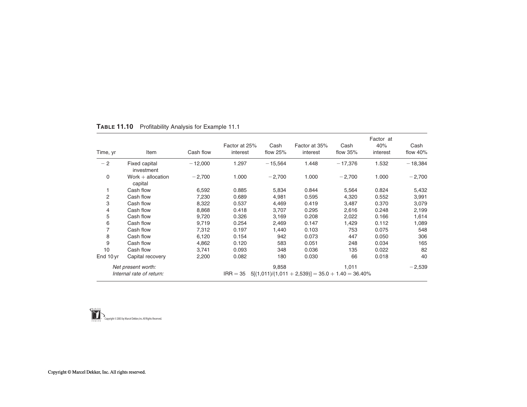| Time, yr  | Item                                           | Cash flow | Factor at 25%<br>interest | Cash<br>flow $25%$ | Factor at 35%<br>interest                            | Cash<br>flow $35%$ | Factor at<br>40%<br>interest | Cash<br>flow $40%$ |
|-----------|------------------------------------------------|-----------|---------------------------|--------------------|------------------------------------------------------|--------------------|------------------------------|--------------------|
| $-2$      | Fixed capital<br>investment                    | $-12,000$ | 1.297                     | $-15,564$          | 1.448                                                | $-17,376$          | 1.532                        | $-18,384$          |
| 0         | Work $+$ allocation<br>capital                 | $-2,700$  | 1.000                     | $-2,700$           | 1.000                                                | $-2,700$           | 1.000                        | $-2,700$           |
| 1         | Cash flow                                      | 6,592     | 0.885                     | 5,834              | 0.844                                                | 5,564              | 0.824                        | 5,432              |
| 2         | Cash flow                                      | 7,230     | 0.689                     | 4,981              | 0.595                                                | 4,320              | 0.552                        | 3,991              |
| 3         | Cash flow                                      | 8,322     | 0.537                     | 4,469              | 0.419                                                | 3,487              | 0.370                        | 3,079              |
| 4         | Cash flow                                      | 8,868     | 0.418                     | 3,707              | 0.295                                                | 2,616              | 0.248                        | 2,199              |
| 5         | Cash flow                                      | 9,720     | 0.326                     | 3,169              | 0.208                                                | 2,022              | 0.166                        | 1,614              |
| 6         | Cash flow                                      | 9,719     | 0.254                     | 2,469              | 0.147                                                | 1,429              | 0.112                        | 1,089              |
| 7         | Cash flow                                      | 7,312     | 0.197                     | 1,440              | 0.103                                                | 753                | 0.075                        | 548                |
| 8         | Cash flow                                      | 6,120     | 0.154                     | 942                | 0.073                                                | 447                | 0.050                        | 306                |
| 9         | Cash flow                                      | 4,862     | 0.120                     | 583                | 0.051                                                | 248                | 0.034                        | 165                |
| 10        | Cash flow                                      | 3,741     | 0.093                     | 348                | 0.036                                                | 135                | 0.022                        | 82                 |
| End 10 yr | Capital recovery                               | 2,200     | 0.082                     | 180                | 0.030                                                | 66                 | 0.018                        | 40                 |
|           | Net present worth:<br>Internal rate of return: |           | $IRR = 35$                | 9,858              | $5[(1,011)/(1,011 + 2,539)] = 35.0 + 1.40 = 36.40\%$ | 1,011              |                              | $-2,539$           |

#### <span id="page-23-0"></span>TABLE 11.10 Profitability Analysis for Example 11.1

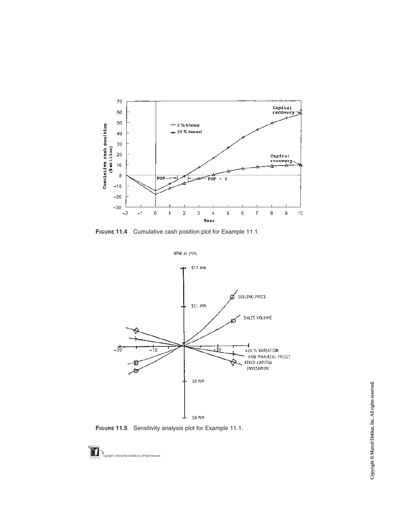<span id="page-24-0"></span>

FIGURE 11.4 Cumulative cash position plot for Example 11.1.



FIGURE 11.5 Sensitivity analysis plot for Example 11.1.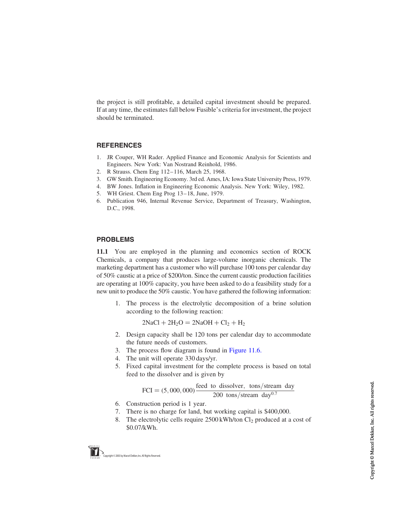<span id="page-25-0"></span>the project is still profitable, a detailed capital investment should be prepared. If at any time, the estimates fall below Fusible's criteria for investment, the project should be terminated.

#### **REFERENCES**

- 1. JR Couper, WH Rader. Applied Finance and Economic Analysis for Scientists and Engineers. New York: Van Nostrand Reinhold, 1986.
- 2. R Strauss. Chem Eng 112 116, March 25, 1968.
- 3. GW Smith. Engineering Economy. 3rd ed. Ames, IA: Iowa State University Press, 1979.
- 4. BW Jones. Inflation in Engineering Economic Analysis. New York: Wiley, 1982.
- 5. WH Griest. Chem Eng Prog 13 18, June, 1979.
- 6. Publication 946, Internal Revenue Service, Department of Treasury, Washington, D.C., 1998.

# PROBLEMS

11.1 You are employed in the planning and economics section of ROCK Chemicals, a company that produces large-volume inorganic chemicals. The marketing department has a customer who will purchase 100 tons per calendar day of 50% caustic at a price of \$200/ton. Since the current caustic production facilities are operating at 100% capacity, you have been asked to do a feasibility study for a new unit to produce the 50% caustic. You have gathered the following information:

1. The process is the electrolytic decomposition of a brine solution according to the following reaction:

 $2NaCl + 2H<sub>2</sub>O = 2NaOH + Cl<sub>2</sub> + H<sub>2</sub>$ 

- 2. Design capacity shall be 120 tons per calendar day to accommodate the future needs of customers.
- 3. The process flow diagram is found in [Figure 11.6](#page-26-0).
- 4. The unit will operate 330 days/yr.
- 5. Fixed capital investment for the complete process is based on total feed to the dissolver and is given by

$$
FCI = (5,000,000) \frac{\text{feed to dissolved, tons/stream day}}{200 \text{ tons/stream day}^{0.7}}
$$

- 6. Construction period is 1 year.
- 7. There is no charge for land, but working capital is \$400,000.
- 8. The electrolytic cells require  $2500 \text{ kWh/ton } \text{Cl}_2$  produced at a cost of \$0.07/kWh.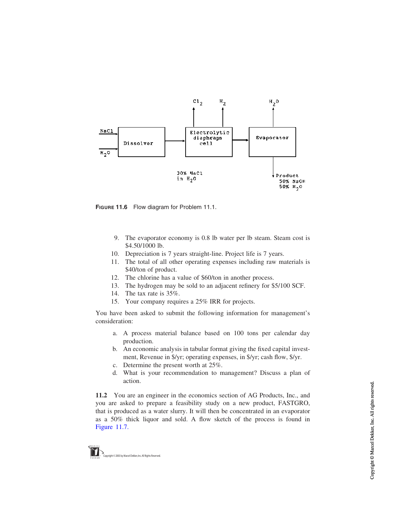<span id="page-26-0"></span>

FIGURE 11.6 Flow diagram for Problem 11.1.

- 9. The evaporator economy is 0.8 lb water per lb steam. Steam cost is \$4.50/1000 lb.
- 10. Depreciation is 7 years straight-line. Project life is 7 years.
- 11. The total of all other operating expenses including raw materials is \$40/ton of product.
- 12. The chlorine has a value of \$60/ton in another process.
- 13. The hydrogen may be sold to an adjacent refinery for \$5/100 SCF.
- 14. The tax rate is 35%.
- 15. Your company requires a 25% IRR for projects.

You have been asked to submit the following information for management's consideration:

- a. A process material balance based on 100 tons per calendar day production.
- b. An economic analysis in tabular format giving the fixed capital investment, Revenue in \$/yr; operating expenses, in \$/yr; cash flow, \$/yr.
- c. Determine the present worth at 25%.
- d. What is your recommendation to management? Discuss a plan of action.

11.2 You are an engineer in the economics section of AG Products, Inc., and you are asked to prepare a feasibility study on a new product, FASTGRO, that is produced as a water slurry. It will then be concentrated in an evaporator as a 50% thick liquor and sold. A flow sketch of the process is found in [Figure 11.7](#page-27-0).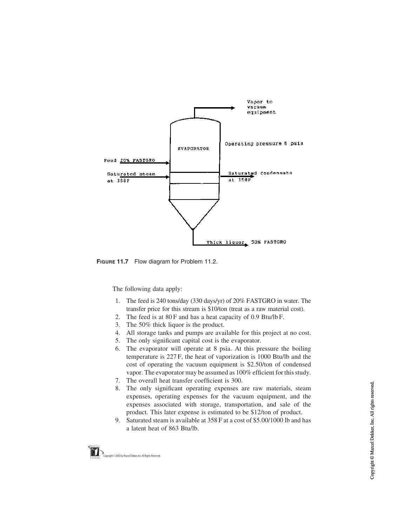<span id="page-27-0"></span>

FIGURE 11.7 Flow diagram for Problem 11.2.

The following data apply:

- 1. The feed is 240 tons/day (330 days/yr) of 20% FASTGRO in water. The transfer price for this stream is \$10/ton (treat as a raw material cost).
- 2. The feed is at 80 F and has a heat capacity of 0.9 Btu/lb F.
- 3. The 50% thick liquor is the product.
- 4. All storage tanks and pumps are available for this project at no cost.
- 5. The only significant capital cost is the evaporator.
- 6. The evaporator will operate at 8 psia. At this pressure the boiling temperature is 227 F, the heat of vaporization is 1000 Btu/lb and the cost of operating the vacuum equipment is \$2.50/ton of condensed vapor. The evaporator may be assumed as 100% efficient for this study.
- 7. The overall heat transfer coefficient is 300.
- 8. The only significant operating expenses are raw materials, steam expenses, operating expenses for the vacuum equipment, and the expenses associated with storage, transportation, and sale of the product. This later expense is estimated to be \$12/ton of product.
- 9. Saturated steam is available at 358 F at a cost of \$5.00/1000 lb and has a latent heat of 863 Btu/lb.

vright © 2003 by Marcel Dekker, Inc. All Rights Reserved.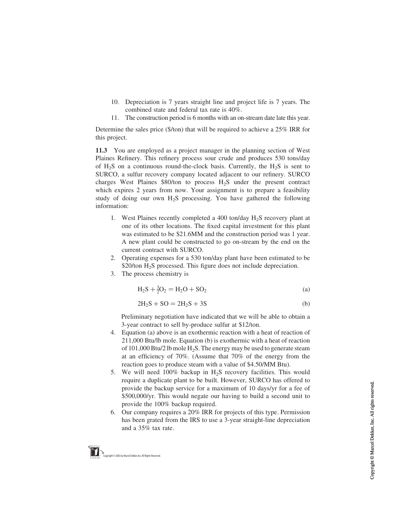- 10. Depreciation is 7 years straight line and project life is 7 years. The combined state and federal tax rate is 40%.
- 11. The construction period is 6 months with an on-stream date late this year.

Determine the sales price (\$/ton) that will be required to achieve a 25% IRR for this project.

11.3 You are employed as a project manager in the planning section of West Plaines Refinery. This refinery process sour crude and produces 530 tons/day of H<sub>2</sub>S on a continuous round-the-clock basis. Currently, the H<sub>2</sub>S is sent to SURCO, a sulfur recovery company located adjacent to our refinery. SURCO charges West Plaines  $\frac{1}{80}$  to process H<sub>2</sub>S under the present contract which expires 2 years from now. Your assignment is to prepare a feasibility study of doing our own  $H_2S$  processing. You have gathered the following information:

- 1. West Plaines recently completed a 400 ton/day  $H_2S$  recovery plant at one of its other locations. The fixed capital investment for this plant was estimated to be \$21.6MM and the construction period was 1 year. A new plant could be constructed to go on-stream by the end on the current contract with SURCO.
- 2. Operating expenses for a 530 ton/day plant have been estimated to be \$20/ton H<sub>2</sub>S processed. This figure does not include depreciation.
- 3. The process chemistry is

$$
H_2S + \frac{3}{2}O_2 = H_2O + SO_2
$$
 (a)

$$
2H_2S + SO = 2H_2S + 3S
$$
 (b)

Preliminary negotiation have indicated that we will be able to obtain a 3-year contract to sell by-produce sulfur at \$12/ton.

- 4. Equation (a) above is an exothermic reaction with a heat of reaction of 211,000 Btu/lb mole. Equation (b) is exothermic with a heat of reaction of 101,000 Btu/2 lb mole  $H_2S$ . The energy may be used to generate steam at an efficiency of 70%. (Assume that 70% of the energy from the reaction goes to produce steam with a value of \$4.50/MM Btu).
- 5. We will need  $100\%$  backup in  $H_2S$  recovery facilities. This would require a duplicate plant to be built. However, SURCO has offered to provide the backup service for a maximum of 10 days/yr for a fee of \$500,000/yr. This would negate our having to build a second unit to provide the 100% backup required.
- 6. Our company requires a 20% IRR for projects of this type. Permission has been grated from the IRS to use a 3-year straight-line depreciation and a 35% tax rate.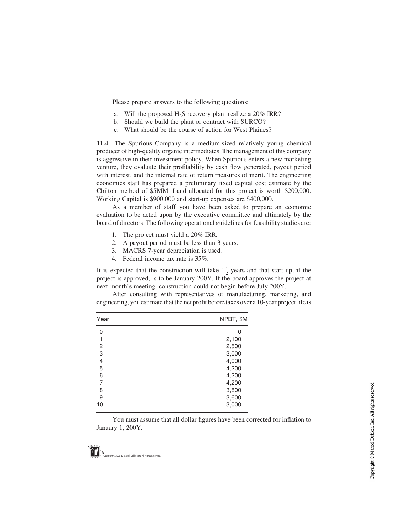Please prepare answers to the following questions:

- a. Will the proposed  $H_2S$  recovery plant realize a 20% IRR?
- b. Should we build the plant or contract with SURCO?
- c. What should be the course of action for West Plaines?

11.4 The Spurious Company is a medium-sized relatively young chemical producer of high-quality organic intermediates. The management of this company is aggressive in their investment policy. When Spurious enters a new marketing venture, they evaluate their profitability by cash flow generated, payout period with interest, and the internal rate of return measures of merit. The engineering economics staff has prepared a preliminary fixed capital cost estimate by the Chilton method of \$5MM. Land allocated for this project is worth \$200,000. Working Capital is \$900,000 and start-up expenses are \$400,000.

As a member of staff you have been asked to prepare an economic evaluation to be acted upon by the executive committee and ultimately by the board of directors. The following operational guidelines for feasibility studies are:

- 1. The project must yield a 20% IRR.
- 2. A payout period must be less than 3 years.
- 3. MACRS 7-year depreciation is used.
- 4. Federal income tax rate is 35%.

It is expected that the construction will take  $1\frac{1}{2}$  years and that start-up, if the project is approved, is to be January 200Y. If the board approves the project at next month's meeting, construction could not begin before July 200Y.

After consulting with representatives of manufacturing, marketing, and engineering, you estimate that the net profit before taxes over a 10-year project life is

| Year | NPBT, \$M |  |  |
|------|-----------|--|--|
| 0    | 0         |  |  |
| 1    | 2,100     |  |  |
| 2    | 2,500     |  |  |
| 3    | 3,000     |  |  |
| 4    | 4,000     |  |  |
| 5    | 4,200     |  |  |
| 6    | 4,200     |  |  |
| 7    | 4,200     |  |  |
| 8    | 3,800     |  |  |
| 9    | 3,600     |  |  |
| 10   | 3,000     |  |  |
|      |           |  |  |

You must assume that all dollar figures have been corrected for inflation to January 1, 200Y.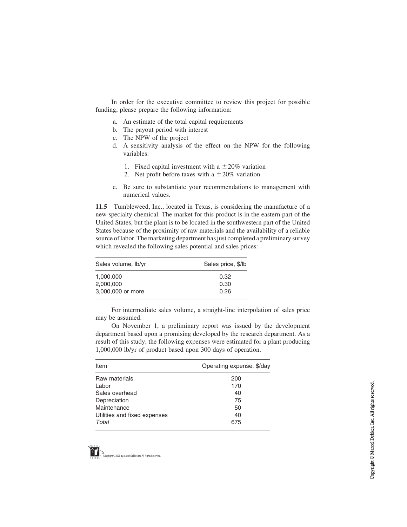In order for the executive committee to review this project for possible funding, please prepare the following information:

- a. An estimate of the total capital requirements
- b. The payout period with interest
- c. The NPW of the project
- d. A sensitivity analysis of the effect on the NPW for the following variables:
	- 1. Fixed capital investment with a  $\pm 20\%$  variation
	- 2. Net profit before taxes with a  $\pm 20\%$  variation
- e. Be sure to substantiate your recommendations to management with numerical values.

11.5 Tumbleweed, Inc., located in Texas, is considering the manufacture of a new specialty chemical. The market for this product is in the eastern part of the United States, but the plant is to be located in the southwestern part of the United States because of the proximity of raw materials and the availability of a reliable source of labor. The marketing department has just completed a preliminary survey which revealed the following sales potential and sales prices:

| Sales price, \$/lb |
|--------------------|
| 0.32               |
| 0.30               |
| 0.26               |
|                    |

For intermediate sales volume, a straight-line interpolation of sales price may be assumed.

On November 1, a preliminary report was issued by the development department based upon a promising developed by the research department. As a result of this study, the following expenses were estimated for a plant producing 1,000,000 lb/yr of product based upon 300 days of operation.

| Item                         | Operating expense, \$/day |
|------------------------------|---------------------------|
| Raw materials                | 200                       |
| Labor                        | 170                       |
| Sales overhead               | 40                        |
| Depreciation                 | 75                        |
| Maintenance                  | 50                        |
| Utilities and fixed expenses | 40                        |
| Total                        | 675                       |